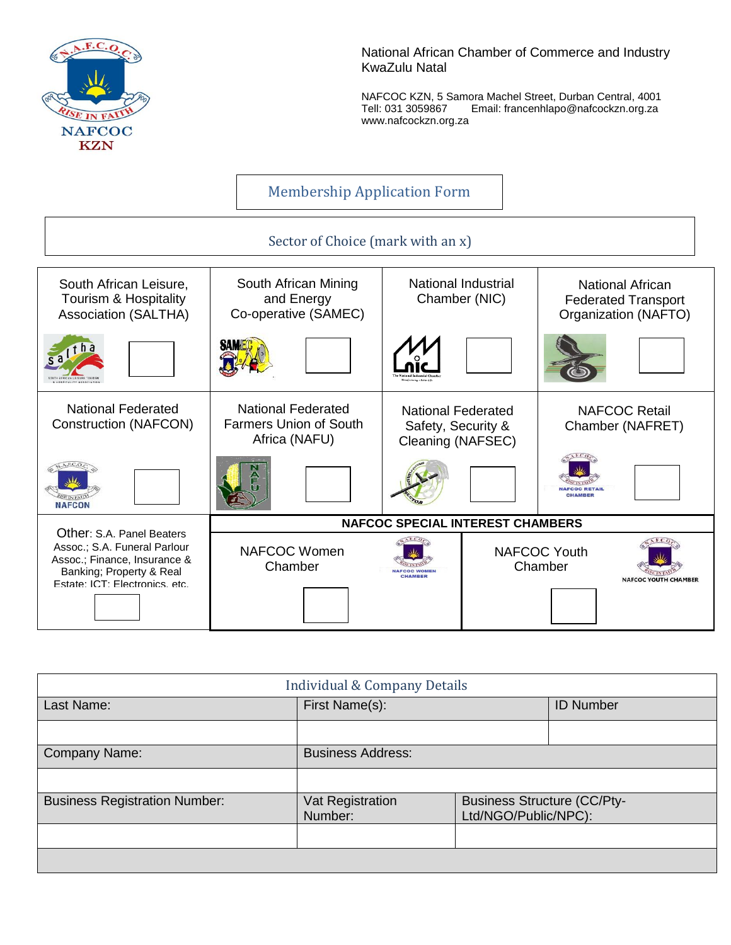

National African Chamber of Commerce and Industry KwaZulu Natal

NAFCOC KZN, 5 Samora Machel Street, Durban Central, 4001 Tell: 031 3059867 Email: francenhlapo@nafcockzn.org.za www.nafcockzn.org.za

# Membership Application Form

## Sector of Choice (mark with an x)



| <b>Individual &amp; Company Details</b> |                             |                                                            |                  |
|-----------------------------------------|-----------------------------|------------------------------------------------------------|------------------|
| Last Name:                              | First Name(s):              |                                                            | <b>ID Number</b> |
|                                         |                             |                                                            |                  |
| <b>Company Name:</b>                    | <b>Business Address:</b>    |                                                            |                  |
|                                         |                             |                                                            |                  |
| <b>Business Registration Number:</b>    | Vat Registration<br>Number: | <b>Business Structure (CC/Pty-</b><br>Ltd/NGO/Public/NPC): |                  |
|                                         |                             |                                                            |                  |
|                                         |                             |                                                            |                  |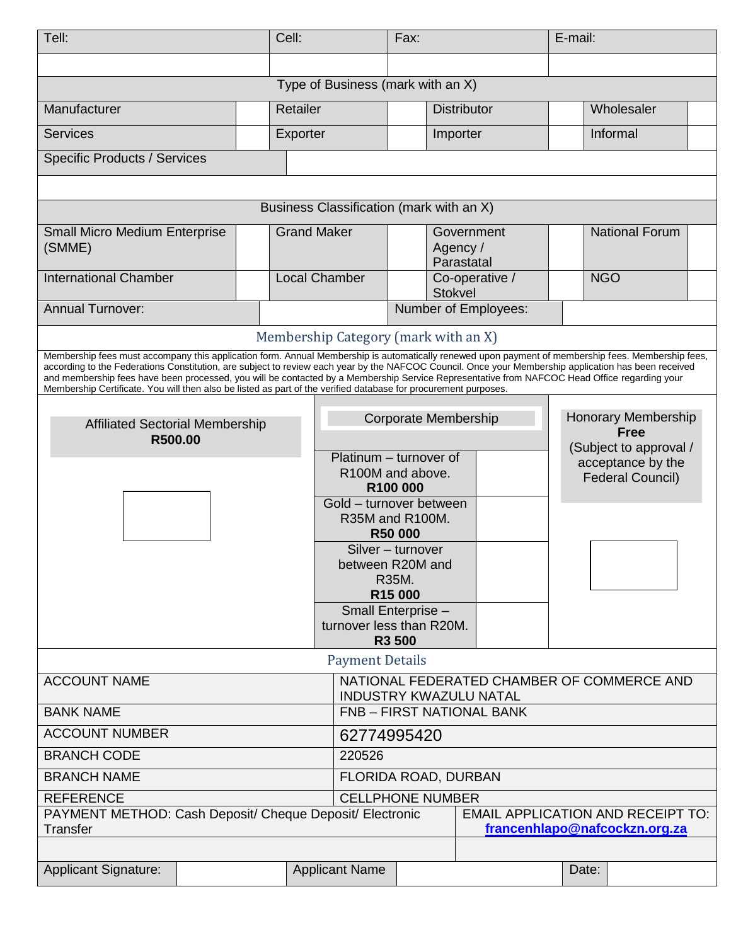| Tell:                                                                                                                                                                                                                                                                                                |                                   | Cell:                                                                       |                                                                          | Fax:                                             |                                              | E-mail: |                               |  |
|------------------------------------------------------------------------------------------------------------------------------------------------------------------------------------------------------------------------------------------------------------------------------------------------------|-----------------------------------|-----------------------------------------------------------------------------|--------------------------------------------------------------------------|--------------------------------------------------|----------------------------------------------|---------|-------------------------------|--|
|                                                                                                                                                                                                                                                                                                      |                                   |                                                                             |                                                                          |                                                  |                                              |         |                               |  |
|                                                                                                                                                                                                                                                                                                      | Type of Business (mark with an X) |                                                                             |                                                                          |                                                  |                                              |         |                               |  |
| Manufacturer                                                                                                                                                                                                                                                                                         |                                   | Retailer                                                                    |                                                                          |                                                  | <b>Distributor</b>                           |         | Wholesaler                    |  |
| <b>Services</b>                                                                                                                                                                                                                                                                                      |                                   | Exporter                                                                    |                                                                          |                                                  | Importer                                     |         | Informal                      |  |
| <b>Specific Products / Services</b>                                                                                                                                                                                                                                                                  |                                   |                                                                             |                                                                          |                                                  |                                              |         |                               |  |
|                                                                                                                                                                                                                                                                                                      |                                   |                                                                             |                                                                          |                                                  |                                              |         |                               |  |
| Business Classification (mark with an X)                                                                                                                                                                                                                                                             |                                   |                                                                             |                                                                          |                                                  |                                              |         |                               |  |
| <b>Small Micro Medium Enterprise</b>                                                                                                                                                                                                                                                                 |                                   | <b>Grand Maker</b>                                                          |                                                                          |                                                  | Government                                   |         | <b>National Forum</b>         |  |
| (SMME)                                                                                                                                                                                                                                                                                               |                                   |                                                                             |                                                                          |                                                  | Agency /<br>Parastatal                       |         |                               |  |
| <b>International Chamber</b>                                                                                                                                                                                                                                                                         |                                   |                                                                             | <b>Local Chamber</b>                                                     |                                                  | Co-operative /<br>Stokvel                    |         | <b>NGO</b>                    |  |
| <b>Annual Turnover:</b>                                                                                                                                                                                                                                                                              |                                   |                                                                             |                                                                          |                                                  | Number of Employees:                         |         |                               |  |
|                                                                                                                                                                                                                                                                                                      |                                   |                                                                             | Membership Category (mark with an X)                                     |                                                  |                                              |         |                               |  |
| Membership fees must accompany this application form. Annual Membership is automatically renewed upon payment of membership fees. Membership fees,                                                                                                                                                   |                                   |                                                                             |                                                                          |                                                  |                                              |         |                               |  |
| according to the Federations Constitution, are subject to review each year by the NAFCOC Council. Once your Membership application has been received<br>and membership fees have been processed, you will be contacted by a Membership Service Representative from NAFCOC Head Office regarding your |                                   |                                                                             |                                                                          |                                                  |                                              |         |                               |  |
| Membership Certificate. You will then also be listed as part of the verified database for procurement purposes.                                                                                                                                                                                      |                                   |                                                                             |                                                                          |                                                  |                                              |         |                               |  |
| <b>Affiliated Sectorial Membership</b>                                                                                                                                                                                                                                                               |                                   |                                                                             | <b>Honorary Membership</b><br><b>Corporate Membership</b><br><b>Free</b> |                                                  |                                              |         |                               |  |
| R500.00                                                                                                                                                                                                                                                                                              |                                   |                                                                             |                                                                          | (Subject to approval /<br>Platinum - turnover of |                                              |         |                               |  |
|                                                                                                                                                                                                                                                                                                      |                                   |                                                                             | R100M and above.                                                         |                                                  | acceptance by the<br><b>Federal Council)</b> |         |                               |  |
|                                                                                                                                                                                                                                                                                                      |                                   |                                                                             |                                                                          | R100 000<br>Gold - turnover between              |                                              |         |                               |  |
|                                                                                                                                                                                                                                                                                                      |                                   | R35M and R100M.<br><b>R50 000</b>                                           |                                                                          |                                                  |                                              |         |                               |  |
|                                                                                                                                                                                                                                                                                                      |                                   | Silver - turnover                                                           |                                                                          |                                                  |                                              |         |                               |  |
|                                                                                                                                                                                                                                                                                                      |                                   |                                                                             | between R20M and                                                         |                                                  |                                              |         |                               |  |
|                                                                                                                                                                                                                                                                                                      |                                   |                                                                             | R35M.<br>R <sub>15</sub> 000                                             |                                                  |                                              |         |                               |  |
|                                                                                                                                                                                                                                                                                                      |                                   |                                                                             | Small Enterprise -                                                       |                                                  |                                              |         |                               |  |
|                                                                                                                                                                                                                                                                                                      |                                   |                                                                             | turnover less than R20M.<br><b>R3 500</b>                                |                                                  |                                              |         |                               |  |
| <b>Payment Details</b>                                                                                                                                                                                                                                                                               |                                   |                                                                             |                                                                          |                                                  |                                              |         |                               |  |
| <b>ACCOUNT NAME</b>                                                                                                                                                                                                                                                                                  |                                   | NATIONAL FEDERATED CHAMBER OF COMMERCE AND<br><b>INDUSTRY KWAZULU NATAL</b> |                                                                          |                                                  |                                              |         |                               |  |
| <b>BANK NAME</b>                                                                                                                                                                                                                                                                                     |                                   | <b>FNB - FIRST NATIONAL BANK</b>                                            |                                                                          |                                                  |                                              |         |                               |  |
| <b>ACCOUNT NUMBER</b>                                                                                                                                                                                                                                                                                |                                   | 62774995420                                                                 |                                                                          |                                                  |                                              |         |                               |  |
| <b>BRANCH CODE</b>                                                                                                                                                                                                                                                                                   |                                   | 220526                                                                      |                                                                          |                                                  |                                              |         |                               |  |
| <b>BRANCH NAME</b>                                                                                                                                                                                                                                                                                   |                                   |                                                                             | FLORIDA ROAD, DURBAN                                                     |                                                  |                                              |         |                               |  |
| <b>REFERENCE</b><br><b>CELLPHONE NUMBER</b><br>PAYMENT METHOD: Cash Deposit/ Cheque Deposit/ Electronic<br><b>EMAIL APPLICATION AND RECEIPT TO:</b>                                                                                                                                                  |                                   |                                                                             |                                                                          |                                                  |                                              |         |                               |  |
| <b>Transfer</b>                                                                                                                                                                                                                                                                                      |                                   |                                                                             |                                                                          |                                                  |                                              |         | francenhlapo@nafcockzn.org.za |  |
|                                                                                                                                                                                                                                                                                                      |                                   |                                                                             |                                                                          |                                                  |                                              |         |                               |  |
| <b>Applicant Signature:</b>                                                                                                                                                                                                                                                                          |                                   | <b>Applicant Name</b>                                                       |                                                                          |                                                  |                                              | Date:   |                               |  |